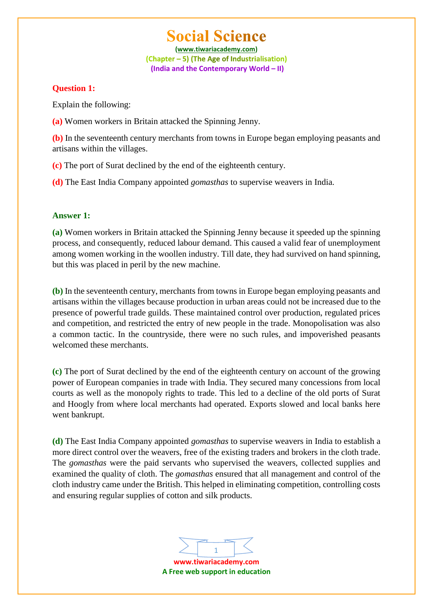**(www.tiwariacademy.com)** (Chapter – 5) (The Age of Industrialisation) **(India and the Contemporary World – II)**

### **Question 1:**

Explain the following:

**(a)** Women workers in Britain attacked the Spinning Jenny.

**(b)** In the seventeenth century merchants from towns in Europe began employing peasants and artisans within the villages.

**(c)** The port of Surat declined by the end of the eighteenth century.

**(d)** The East India Company appointed *gomasthas* to supervise weavers in India.

# **Answer 1:**

**(a)** Women workers in Britain attacked the Spinning Jenny because it speeded up the spinning process, and consequently, reduced labour demand. This caused a valid fear of unemployment among women working in the woollen industry. Till date, they had survived on hand spinning, but this was placed in peril by the new machine.

**(b)** In the seventeenth century, merchants from towns in Europe began employing peasants and artisans within the villages because production in urban areas could not be increased due to the presence of powerful trade guilds. These maintained control over production, regulated prices and competition, and restricted the entry of new people in the trade. Monopolisation was also a common tactic. In the countryside, there were no such rules, and impoverished peasants welcomed these merchants.

**(c)** The port of Surat declined by the end of the eighteenth century on account of the growing power of European companies in trade with India. They secured many concessions from local courts as well as the monopoly rights to trade. This led to a decline of the old ports of Surat and Hoogly from where local merchants had operated. Exports slowed and local banks here went bankrupt.

**(d)** The East India Company appointed *gomasthas* to supervise weavers in India to establish a more direct control over the weavers, free of the existing traders and brokers in the cloth trade. The *gomasthas* were the paid servants who supervised the weavers, collected supplies and examined the quality of cloth. The *gomasthas* ensured that all management and control of the cloth industry came under the British. This helped in eliminating competition, controlling costs and ensuring regular supplies of cotton and silk products.

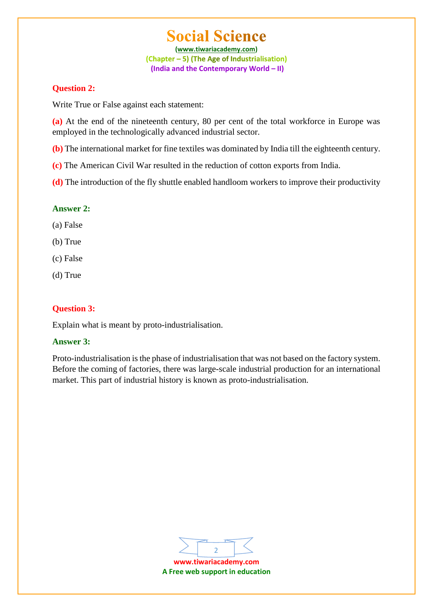**(www.tiwariacademy.com)** (Chapter – 5) (The Age of Industrialisation) **(India and the Contemporary World – II)**

### **Question 2:**

Write True or False against each statement:

**(a)** At the end of the nineteenth century, 80 per cent of the total workforce in Europe was employed in the technologically advanced industrial sector.

**(b)** The international market for fine textiles was dominated by India till the eighteenth century.

**(c)** The American Civil War resulted in the reduction of cotton exports from India.

**(d)** The introduction of the fly shuttle enabled handloom workers to improve their productivity

# **Answer 2:**

(a) False

(b) True

- (c) False
- (d) True

# **Question 3:**

Explain what is meant by proto-industrialisation.

# **Answer 3:**

Proto-industrialisation is the phase of industrialisation that was not based on the factory system. Before the coming of factories, there was large-scale industrial production for an international market. This part of industrial history is known as proto-industrialisation.



**A Free web support in education**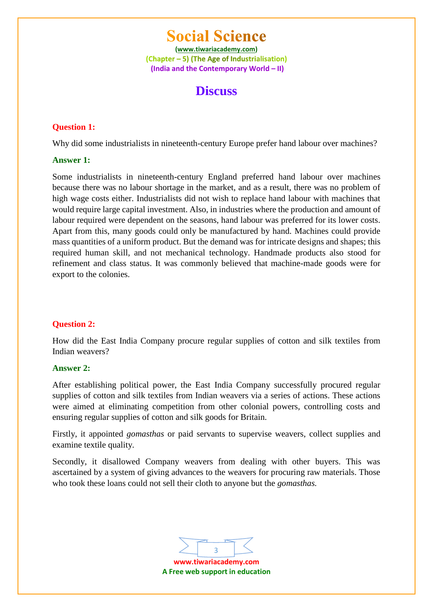**(www.tiwariacademy.com)** (Chapter – 5) (The Age of Industrialisation) **(India and the Contemporary World – II)**

# **Discuss**

### **Question 1:**

Why did some industrialists in nineteenth-century Europe prefer hand labour over machines?

### **Answer 1:**

Some industrialists in nineteenth-century England preferred hand labour over machines because there was no labour shortage in the market, and as a result, there was no problem of high wage costs either. Industrialists did not wish to replace hand labour with machines that would require large capital investment. Also, in industries where the production and amount of labour required were dependent on the seasons, hand labour was preferred for its lower costs. Apart from this, many goods could only be manufactured by hand. Machines could provide mass quantities of a uniform product. But the demand was for intricate designs and shapes; this required human skill, and not mechanical technology. Handmade products also stood for refinement and class status. It was commonly believed that machine-made goods were for export to the colonies.

# **Question 2:**

How did the East India Company procure regular supplies of cotton and silk textiles from Indian weavers?

### **Answer 2:**

After establishing political power, the East India Company successfully procured regular supplies of cotton and silk textiles from Indian weavers via a series of actions. These actions were aimed at eliminating competition from other colonial powers, controlling costs and ensuring regular supplies of cotton and silk goods for Britain.

Firstly, it appointed *gomasthas* or paid servants to supervise weavers, collect supplies and examine textile quality.

Secondly, it disallowed Company weavers from dealing with other buyers. This was ascertained by a system of giving advances to the weavers for procuring raw materials. Those who took these loans could not sell their cloth to anyone but the *gomasthas.*

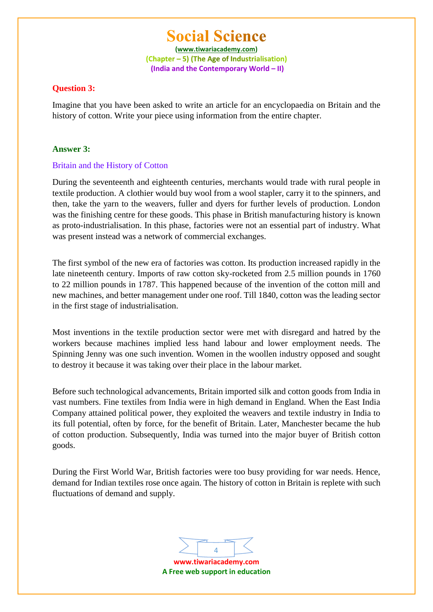**(www.tiwariacademy.com)** (Chapter – 5) (The Age of Industrialisation) **(India and the Contemporary World – II)**

#### **Question 3:**

Imagine that you have been asked to write an article for an encyclopaedia on Britain and the history of cotton. Write your piece using information from the entire chapter.

#### **Answer 3:**

#### Britain and the History of Cotton

During the seventeenth and eighteenth centuries, merchants would trade with rural people in textile production. A clothier would buy wool from a wool stapler, carry it to the spinners, and then, take the yarn to the weavers, fuller and dyers for further levels of production. London was the finishing centre for these goods. This phase in British manufacturing history is known as proto-industrialisation. In this phase, factories were not an essential part of industry. What was present instead was a network of commercial exchanges.

The first symbol of the new era of factories was cotton. Its production increased rapidly in the late nineteenth century. Imports of raw cotton sky-rocketed from 2.5 million pounds in 1760 to 22 million pounds in 1787. This happened because of the invention of the cotton mill and new machines, and better management under one roof. Till 1840, cotton was the leading sector in the first stage of industrialisation.

Most inventions in the textile production sector were met with disregard and hatred by the workers because machines implied less hand labour and lower employment needs. The Spinning Jenny was one such invention. Women in the woollen industry opposed and sought to destroy it because it was taking over their place in the labour market.

Before such technological advancements, Britain imported silk and cotton goods from India in vast numbers. Fine textiles from India were in high demand in England. When the East India Company attained political power, they exploited the weavers and textile industry in India to its full potential, often by force, for the benefit of Britain. Later, Manchester became the hub of cotton production. Subsequently, India was turned into the major buyer of British cotton goods.

During the First World War, British factories were too busy providing for war needs. Hence, demand for Indian textiles rose once again. The history of cotton in Britain is replete with such fluctuations of demand and supply.